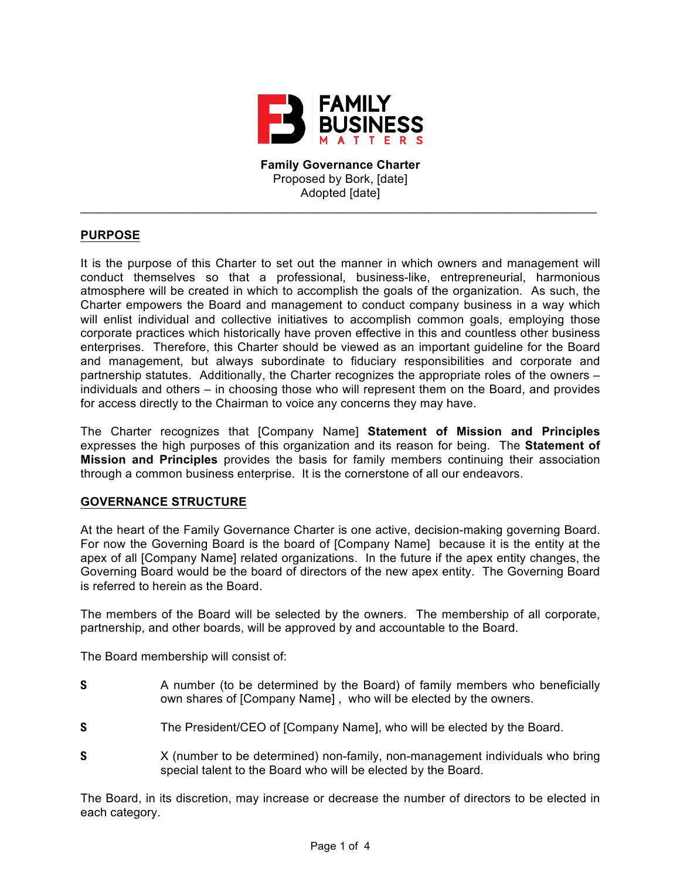

**Family Governance Charter** Proposed by Bork, [date] Adopted [date]

\_\_\_\_\_\_\_\_\_\_\_\_\_\_\_\_\_\_\_\_\_\_\_\_\_\_\_\_\_\_\_\_\_\_\_\_\_\_\_\_\_\_\_\_\_\_\_\_\_\_\_\_\_\_\_\_\_\_\_\_\_\_\_\_\_\_\_\_\_\_\_\_\_\_\_\_

# **PURPOSE**

It is the purpose of this Charter to set out the manner in which owners and management will conduct themselves so that a professional, business-like, entrepreneurial, harmonious atmosphere will be created in which to accomplish the goals of the organization. As such, the Charter empowers the Board and management to conduct company business in a way which will enlist individual and collective initiatives to accomplish common goals, employing those corporate practices which historically have proven effective in this and countless other business enterprises. Therefore, this Charter should be viewed as an important guideline for the Board and management, but always subordinate to fiduciary responsibilities and corporate and partnership statutes. Additionally, the Charter recognizes the appropriate roles of the owners – individuals and others – in choosing those who will represent them on the Board, and provides for access directly to the Chairman to voice any concerns they may have.

The Charter recognizes that [Company Name] **Statement of Mission and Principles** expresses the high purposes of this organization and its reason for being. The **Statement of Mission and Principles** provides the basis for family members continuing their association through a common business enterprise. It is the cornerstone of all our endeavors.

### **GOVERNANCE STRUCTURE**

At the heart of the Family Governance Charter is one active, decision-making governing Board. For now the Governing Board is the board of [Company Name] because it is the entity at the apex of all [Company Name] related organizations. In the future if the apex entity changes, the Governing Board would be the board of directors of the new apex entity. The Governing Board is referred to herein as the Board.

The members of the Board will be selected by the owners. The membership of all corporate, partnership, and other boards, will be approved by and accountable to the Board.

The Board membership will consist of:

- **S** A number (to be determined by the Board) of family members who beneficially own shares of [Company Name] , who will be elected by the owners.
- **S** The President/CEO of [Company Name], who will be elected by the Board.
- **S** X (number to be determined) non-family, non-management individuals who bring special talent to the Board who will be elected by the Board.

The Board, in its discretion, may increase or decrease the number of directors to be elected in each category.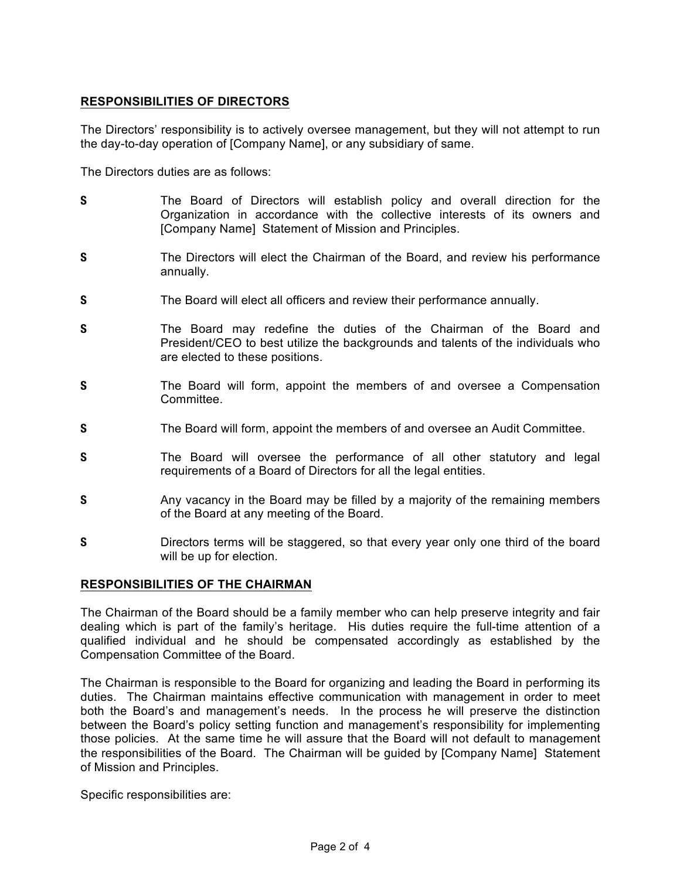# **RESPONSIBILITIES OF DIRECTORS**

The Directors' responsibility is to actively oversee management, but they will not attempt to run the day-to-day operation of [Company Name], or any subsidiary of same.

The Directors duties are as follows:

- **S** The Board of Directors will establish policy and overall direction for the Organization in accordance with the collective interests of its owners and [Company Name] Statement of Mission and Principles.
- **S** The Directors will elect the Chairman of the Board, and review his performance annually.
- **S** The Board will elect all officers and review their performance annually.
- **S** The Board may redefine the duties of the Chairman of the Board and President/CEO to best utilize the backgrounds and talents of the individuals who are elected to these positions.
- **S** The Board will form, appoint the members of and oversee a Compensation Committee.
- **S** The Board will form, appoint the members of and oversee an Audit Committee.
- **S** The Board will oversee the performance of all other statutory and legal requirements of a Board of Directors for all the legal entities.
- **S** Any vacancy in the Board may be filled by a majority of the remaining members of the Board at any meeting of the Board.
- **S** Directors terms will be staggered, so that every year only one third of the board will be up for election.

# **RESPONSIBILITIES OF THE CHAIRMAN**

The Chairman of the Board should be a family member who can help preserve integrity and fair dealing which is part of the family's heritage. His duties require the full-time attention of a qualified individual and he should be compensated accordingly as established by the Compensation Committee of the Board.

The Chairman is responsible to the Board for organizing and leading the Board in performing its duties. The Chairman maintains effective communication with management in order to meet both the Board's and management's needs. In the process he will preserve the distinction between the Board's policy setting function and management's responsibility for implementing those policies. At the same time he will assure that the Board will not default to management the responsibilities of the Board. The Chairman will be guided by [Company Name] Statement of Mission and Principles.

Specific responsibilities are: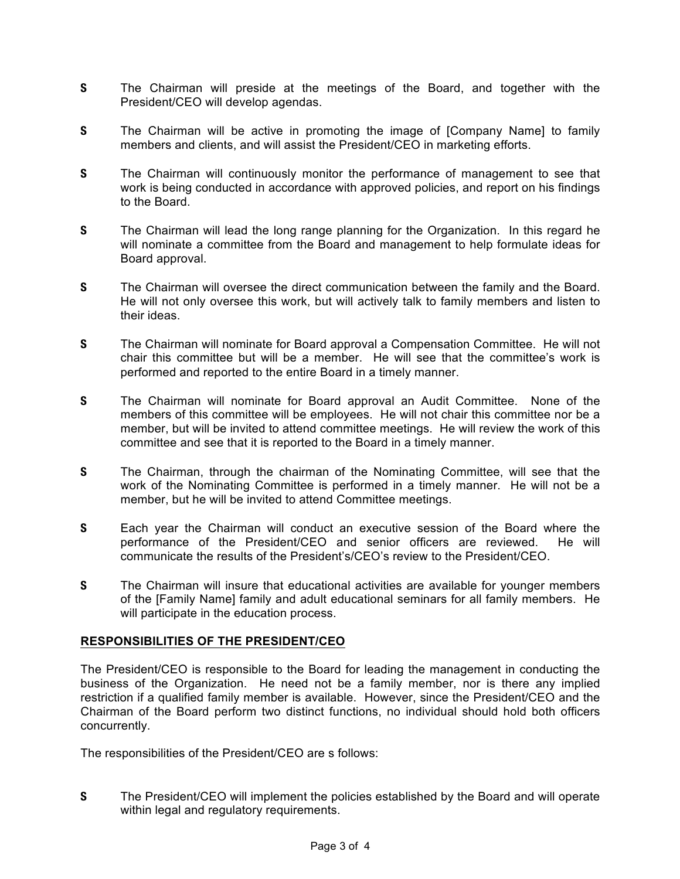- **S** The Chairman will preside at the meetings of the Board, and together with the President/CEO will develop agendas.
- **S** The Chairman will be active in promoting the image of [Company Name] to family members and clients, and will assist the President/CEO in marketing efforts.
- **S** The Chairman will continuously monitor the performance of management to see that work is being conducted in accordance with approved policies, and report on his findings to the Board.
- **S** The Chairman will lead the long range planning for the Organization. In this regard he will nominate a committee from the Board and management to help formulate ideas for Board approval.
- **S** The Chairman will oversee the direct communication between the family and the Board. He will not only oversee this work, but will actively talk to family members and listen to their ideas.
- **S** The Chairman will nominate for Board approval a Compensation Committee. He will not chair this committee but will be a member. He will see that the committee's work is performed and reported to the entire Board in a timely manner.
- **S** The Chairman will nominate for Board approval an Audit Committee. None of the members of this committee will be employees. He will not chair this committee nor be a member, but will be invited to attend committee meetings. He will review the work of this committee and see that it is reported to the Board in a timely manner.
- **S** The Chairman, through the chairman of the Nominating Committee, will see that the work of the Nominating Committee is performed in a timely manner. He will not be a member, but he will be invited to attend Committee meetings.
- **S** Each year the Chairman will conduct an executive session of the Board where the performance of the President/CEO and senior officers are reviewed. He will communicate the results of the President's/CEO's review to the President/CEO.
- **S** The Chairman will insure that educational activities are available for younger members of the [Family Name] family and adult educational seminars for all family members. He will participate in the education process.

# **RESPONSIBILITIES OF THE PRESIDENT/CEO**

The President/CEO is responsible to the Board for leading the management in conducting the business of the Organization. He need not be a family member, nor is there any implied restriction if a qualified family member is available. However, since the President/CEO and the Chairman of the Board perform two distinct functions, no individual should hold both officers concurrently.

The responsibilities of the President/CEO are s follows:

**S** The President/CEO will implement the policies established by the Board and will operate within legal and regulatory requirements.